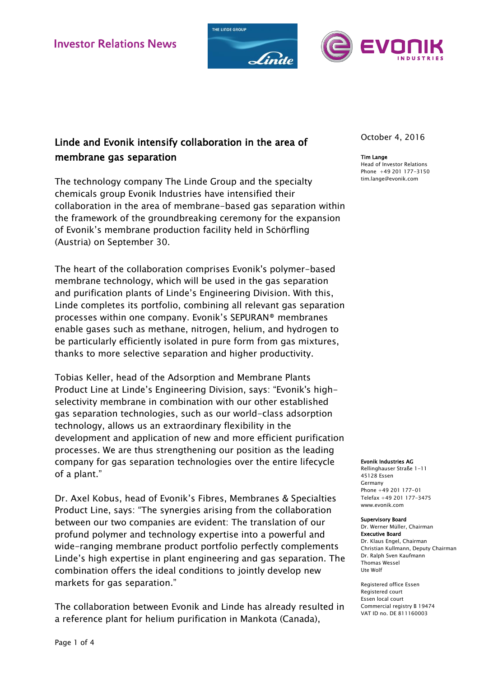



# Linde and Evonik intensify collaboration in the area of membrane gas separation

The technology company The Linde Group and the specialty chemicals group Evonik Industries have intensified their collaboration in the area of membrane-based gas separation within the framework of the groundbreaking ceremony for the expansion of Evonik's membrane production facility held in Schörfling (Austria) on September 30.

The heart of the collaboration comprises Evonik's polymer-based membrane technology, which will be used in the gas separation and purification plants of Linde's Engineering Division. With this, Linde completes its portfolio, combining all relevant gas separation processes within one company. Evonik's SEPURAN® membranes enable gases such as methane, nitrogen, helium, and hydrogen to be particularly efficiently isolated in pure form from gas mixtures, thanks to more selective separation and higher productivity.

Tobias Keller, head of the Adsorption and Membrane Plants Product Line at Linde's Engineering Division, says: "Evonik's highselectivity membrane in combination with our other established gas separation technologies, such as our world-class adsorption technology, allows us an extraordinary flexibility in the development and application of new and more efficient purification processes. We are thus strengthening our position as the leading company for gas separation technologies over the entire lifecycle of a plant."

Dr. Axel Kobus, head of Evonik's Fibres, Membranes & Specialties Product Line, says: "The synergies arising from the collaboration between our two companies are evident: The translation of our profund polymer and technology expertise into a powerful and wide-ranging membrane product portfolio perfectly complements Linde's high expertise in plant engineering and gas separation. The combination offers the ideal conditions to jointly develop new markets for gas separation."

The collaboration between Evonik and Linde has already resulted in a reference plant for helium purification in Mankota (Canada),

October 4, 2016

#### Tim Lange

Head of Investor Relations Phone +49 201 177-3150 tim.lange@evonik.com

#### Evonik Industries AG

Rellinghauser Straße 1-11 45128 Essen Germany Phone +49 201 177-01 Telefax +49 201 177-3475 www.evonik.com

#### Supervisory Board

Dr. Werner Müller, Chairman Executive Board Dr. Klaus Engel, Chairman Christian Kullmann, Deputy Chairman Dr. Ralph Sven Kaufmann Thomas Wessel Ute Wolf

Registered office Essen Registered court Essen local court Commercial registry B 19474 VAT ID no. DE 811160003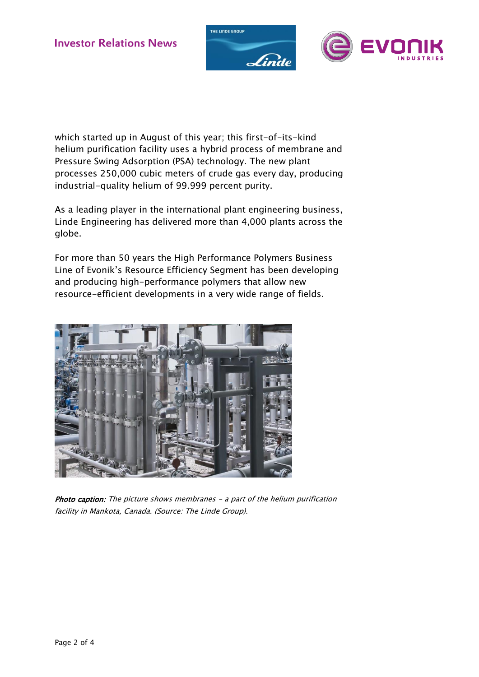



which started up in August of this year; this first-of-its-kind helium purification facility uses a hybrid process of membrane and Pressure Swing Adsorption (PSA) technology. The new plant processes 250,000 cubic meters of crude gas every day, producing industrial-quality helium of 99.999 percent purity.

As a leading player in the international plant engineering business, Linde Engineering has delivered more than 4,000 plants across the globe.

For more than 50 years the High Performance Polymers Business Line of Evonik's Resource Efficiency Segment has been developing and producing high-performance polymers that allow new resource-efficient developments in a very wide range of fields.



Photo caption: The picture shows membranes - a part of the helium purification facility in Mankota, Canada. (Source: The Linde Group).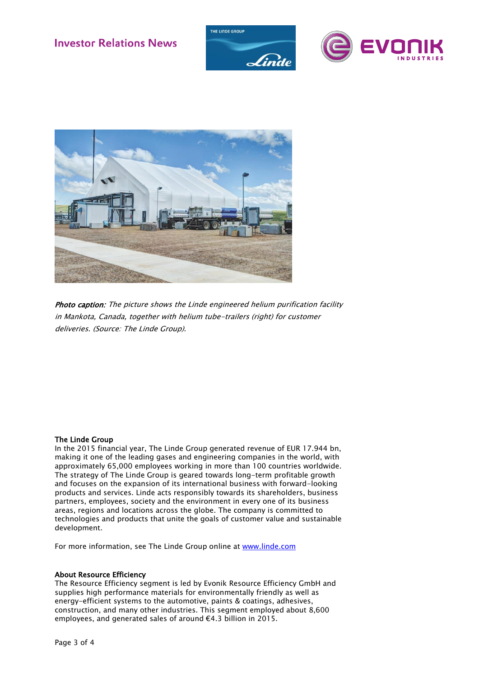





Photo caption: The picture shows the Linde engineered helium purification facility in Mankota, Canada, together with helium tube-trailers (right) for customer deliveries. (Source: The Linde Group).

## The Linde Group

In the 2015 financial year, The Linde Group generated revenue of EUR 17.944 bn, making it one of the leading gases and engineering companies in the world, with approximately 65,000 employees working in more than 100 countries worldwide. The strategy of The Linde Group is geared towards long-term profitable growth and focuses on the expansion of its international business with forward-looking products and services. Linde acts responsibly towards its shareholders, business partners, employees, society and the environment in every one of its business areas, regions and locations across the globe. The company is committed to technologies and products that unite the goals of customer value and sustainable development.

For more information, see The Linde Group online at [www.linde.com](http://www.linde.com/)

### About Resource Efficiency

The Resource Efficiency segment is led by Evonik Resource Efficiency GmbH and supplies high performance materials for environmentally friendly as well as energy-efficient systems to the automotive, paints & coatings, adhesives, construction, and many other industries. This segment employed about 8,600 employees, and generated sales of around €4.3 billion in 2015.